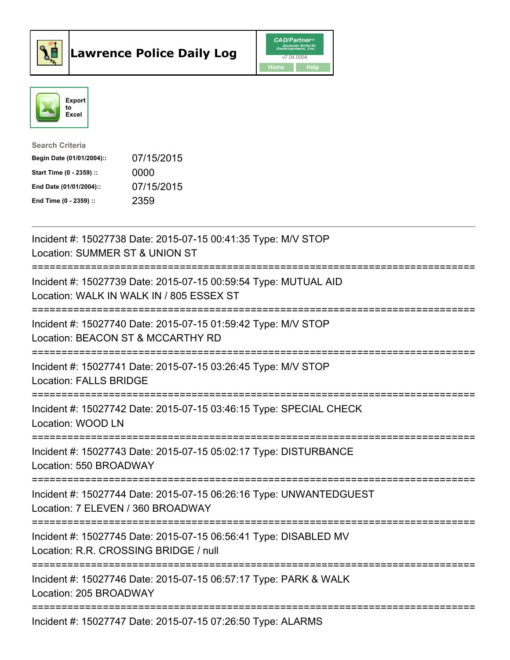



| <b>Search Criteria</b>    |            |
|---------------------------|------------|
| Begin Date (01/01/2004):: | 07/15/2015 |
| Start Time (0 - 2359) ::  | 0000       |
| End Date (01/01/2004)::   | 07/15/2015 |
| End Time $(0 - 2359)$ :   | 2359       |

| Incident #: 15027738 Date: 2015-07-15 00:41:35 Type: M/V STOP<br>Location: SUMMER ST & UNION ST                                              |
|----------------------------------------------------------------------------------------------------------------------------------------------|
| Incident #: 15027739 Date: 2015-07-15 00:59:54 Type: MUTUAL AID<br>Location: WALK IN WALK IN / 805 ESSEX ST<br>:============================ |
| Incident #: 15027740 Date: 2015-07-15 01:59:42 Type: M/V STOP<br>Location: BEACON ST & MCCARTHY RD<br>==========================             |
| Incident #: 15027741 Date: 2015-07-15 03:26:45 Type: M/V STOP<br><b>Location: FALLS BRIDGE</b><br>====================================       |
| Incident #: 15027742 Date: 2015-07-15 03:46:15 Type: SPECIAL CHECK<br>Location: WOOD LN<br>===============================                   |
| Incident #: 15027743 Date: 2015-07-15 05:02:17 Type: DISTURBANCE<br>Location: 550 BROADWAY                                                   |
| Incident #: 15027744 Date: 2015-07-15 06:26:16 Type: UNWANTEDGUEST<br>Location: 7 ELEVEN / 360 BROADWAY                                      |
| Incident #: 15027745 Date: 2015-07-15 06:56:41 Type: DISABLED MV<br>Location: R.R. CROSSING BRIDGE / null                                    |
| Incident #: 15027746 Date: 2015-07-15 06:57:17 Type: PARK & WALK<br>Location: 205 BROADWAY                                                   |
| Incident #: 15027747 Date: 2015-07-15 07:26:50 Type: ALARMS                                                                                  |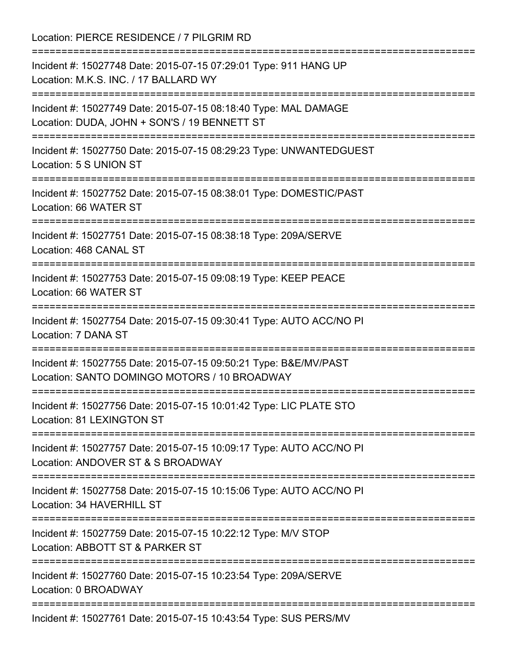Location: PIERCE RESIDENCE / 7 PILGRIM RD =========================================================================== Incident #: 15027748 Date: 2015-07-15 07:29:01 Type: 911 HANG UP Location: M.K.S. INC. / 17 BALLARD WY =========================================================================== Incident #: 15027749 Date: 2015-07-15 08:18:40 Type: MAL DAMAGE Location: DUDA, JOHN + SON'S / 19 BENNETT ST =========================================================================== Incident #: 15027750 Date: 2015-07-15 08:29:23 Type: UNWANTEDGUEST Location: 5 S UNION ST =========================================================================== Incident #: 15027752 Date: 2015-07-15 08:38:01 Type: DOMESTIC/PAST Location: 66 WATER ST =========================================================================== Incident #: 15027751 Date: 2015-07-15 08:38:18 Type: 209A/SERVE Location: 468 CANAL ST =========================================================================== Incident #: 15027753 Date: 2015-07-15 09:08:19 Type: KEEP PEACE Location: 66 WATER ST =========================================================================== Incident #: 15027754 Date: 2015-07-15 09:30:41 Type: AUTO ACC/NO PI Location: 7 DANA ST =========================================================================== Incident #: 15027755 Date: 2015-07-15 09:50:21 Type: B&E/MV/PAST Location: SANTO DOMINGO MOTORS / 10 BROADWAY =========================================================================== Incident #: 15027756 Date: 2015-07-15 10:01:42 Type: LIC PLATE STO Location: 81 LEXINGTON ST =========================================================================== Incident #: 15027757 Date: 2015-07-15 10:09:17 Type: AUTO ACC/NO PI Location: ANDOVER ST & S BROADWAY =========================================================================== Incident #: 15027758 Date: 2015-07-15 10:15:06 Type: AUTO ACC/NO PI Location: 34 HAVERHILL ST =========================================================================== Incident #: 15027759 Date: 2015-07-15 10:22:12 Type: M/V STOP Location: ABBOTT ST & PARKER ST =========================================================================== Incident #: 15027760 Date: 2015-07-15 10:23:54 Type: 209A/SERVE Location: 0 BROADWAY =========================================================================== Incident #: 15027761 Date: 2015-07-15 10:43:54 Type: SUS PERS/MV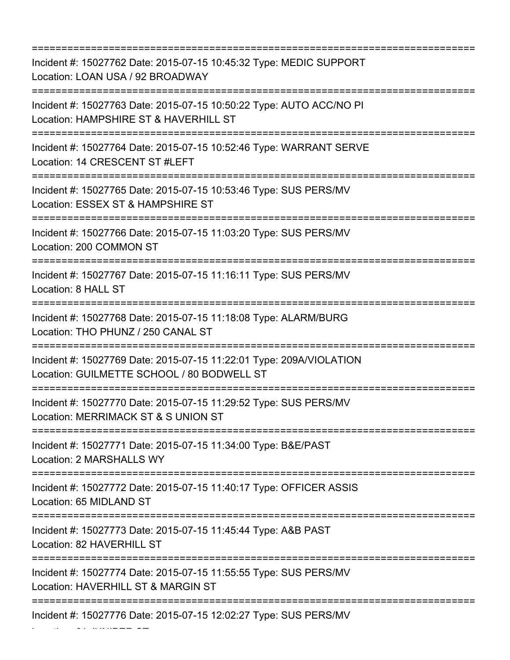=========================================================================== Incident #: 15027762 Date: 2015-07-15 10:45:32 Type: MEDIC SUPPORT Location: LOAN USA / 92 BROADWAY =========================================================================== Incident #: 15027763 Date: 2015-07-15 10:50:22 Type: AUTO ACC/NO PI Location: HAMPSHIRE ST & HAVERHILL ST =========================================================================== Incident #: 15027764 Date: 2015-07-15 10:52:46 Type: WARRANT SERVE Location: 14 CRESCENT ST #LEFT =========================================================================== Incident #: 15027765 Date: 2015-07-15 10:53:46 Type: SUS PERS/MV Location: ESSEX ST & HAMPSHIRE ST =========================================================================== Incident #: 15027766 Date: 2015-07-15 11:03:20 Type: SUS PERS/MV Location: 200 COMMON ST =========================================================================== Incident #: 15027767 Date: 2015-07-15 11:16:11 Type: SUS PERS/MV Location: 8 HALL ST =========================================================================== Incident #: 15027768 Date: 2015-07-15 11:18:08 Type: ALARM/BURG Location: THO PHUNZ / 250 CANAL ST =========================================================================== Incident #: 15027769 Date: 2015-07-15 11:22:01 Type: 209A/VIOLATION Location: GUILMETTE SCHOOL / 80 BODWELL ST =========================================================================== Incident #: 15027770 Date: 2015-07-15 11:29:52 Type: SUS PERS/MV Location: MERRIMACK ST & S UNION ST =========================================================================== Incident #: 15027771 Date: 2015-07-15 11:34:00 Type: B&E/PAST Location: 2 MARSHALLS WY =========================================================================== Incident #: 15027772 Date: 2015-07-15 11:40:17 Type: OFFICER ASSIS Location: 65 MIDLAND ST =========================================================================== Incident #: 15027773 Date: 2015-07-15 11:45:44 Type: A&B PAST Location: 82 HAVERHILL ST =========================================================================== Incident #: 15027774 Date: 2015-07-15 11:55:55 Type: SUS PERS/MV Location: HAVERHILL ST & MARGIN ST =========================================================================== Incident #: 15027776 Date: 2015-07-15 12:02:27 Type: SUS PERS/MV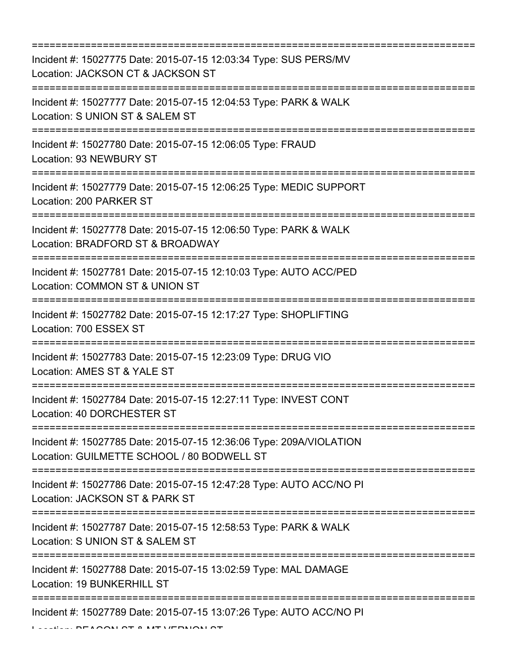=========================================================================== Incident #: 15027775 Date: 2015-07-15 12:03:34 Type: SUS PERS/MV Location: JACKSON CT & JACKSON ST =========================================================================== Incident #: 15027777 Date: 2015-07-15 12:04:53 Type: PARK & WALK Location: S UNION ST & SALEM ST =========================================================================== Incident #: 15027780 Date: 2015-07-15 12:06:05 Type: FRAUD Location: 93 NEWBURY ST =========================================================================== Incident #: 15027779 Date: 2015-07-15 12:06:25 Type: MEDIC SUPPORT Location: 200 PARKER ST =========================================================================== Incident #: 15027778 Date: 2015-07-15 12:06:50 Type: PARK & WALK Location: BRADFORD ST & BROADWAY =========================================================================== Incident #: 15027781 Date: 2015-07-15 12:10:03 Type: AUTO ACC/PED Location: COMMON ST & UNION ST =========================================================================== Incident #: 15027782 Date: 2015-07-15 12:17:27 Type: SHOPLIFTING Location: 700 ESSEX ST =========================================================================== Incident #: 15027783 Date: 2015-07-15 12:23:09 Type: DRUG VIO Location: AMES ST & YALE ST =========================================================================== Incident #: 15027784 Date: 2015-07-15 12:27:11 Type: INVEST CONT Location: 40 DORCHESTER ST =========================================================================== Incident #: 15027785 Date: 2015-07-15 12:36:06 Type: 209A/VIOLATION Location: GUILMETTE SCHOOL / 80 BODWELL ST =========================================================================== Incident #: 15027786 Date: 2015-07-15 12:47:28 Type: AUTO ACC/NO PI Location: JACKSON ST & PARK ST =========================================================================== Incident #: 15027787 Date: 2015-07-15 12:58:53 Type: PARK & WALK Location: S UNION ST & SALEM ST =========================================================================== Incident #: 15027788 Date: 2015-07-15 13:02:59 Type: MAL DAMAGE Location: 19 BUNKERHILL ST =========================================================================== Incident #: 15027789 Date: 2015-07-15 13:07:26 Type: AUTO ACC/NO PI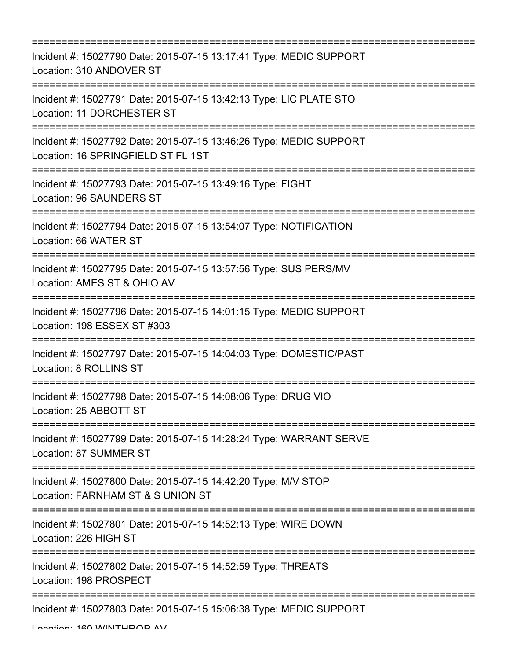| ========================                                                                                                                                          |
|-------------------------------------------------------------------------------------------------------------------------------------------------------------------|
| Incident #: 15027790 Date: 2015-07-15 13:17:41 Type: MEDIC SUPPORT<br>Location: 310 ANDOVER ST<br>===================                                             |
| Incident #: 15027791 Date: 2015-07-15 13:42:13 Type: LIC PLATE STO<br>Location: 11 DORCHESTER ST                                                                  |
| Incident #: 15027792 Date: 2015-07-15 13:46:26 Type: MEDIC SUPPORT<br>Location: 16 SPRINGFIELD ST FL 1ST                                                          |
| Incident #: 15027793 Date: 2015-07-15 13:49:16 Type: FIGHT<br>Location: 96 SAUNDERS ST                                                                            |
| Incident #: 15027794 Date: 2015-07-15 13:54:07 Type: NOTIFICATION<br>Location: 66 WATER ST                                                                        |
| Incident #: 15027795 Date: 2015-07-15 13:57:56 Type: SUS PERS/MV<br>Location: AMES ST & OHIO AV                                                                   |
| Incident #: 15027796 Date: 2015-07-15 14:01:15 Type: MEDIC SUPPORT<br>Location: 198 ESSEX ST #303<br>================<br>------------------------                 |
| Incident #: 15027797 Date: 2015-07-15 14:04:03 Type: DOMESTIC/PAST<br>Location: 8 ROLLINS ST                                                                      |
| Incident #: 15027798 Date: 2015-07-15 14:08:06 Type: DRUG VIO<br>Location: 25 ABBOTT ST                                                                           |
| =====================================<br>========================<br>Incident #: 15027799 Date: 2015-07-15 14:28:24 Type: WARRANT SERVE<br>Location: 87 SUMMER ST |
| Incident #: 15027800 Date: 2015-07-15 14:42:20 Type: M/V STOP<br>Location: FARNHAM ST & S UNION ST                                                                |
| ============================<br>Incident #: 15027801 Date: 2015-07-15 14:52:13 Type: WIRE DOWN<br>Location: 226 HIGH ST                                           |
| Incident #: 15027802 Date: 2015-07-15 14:52:59 Type: THREATS<br>Location: 198 PROSPECT                                                                            |
| =====================<br>Incident #: 15027803 Date: 2015-07-15 15:06:38 Type: MEDIC SUPPORT                                                                       |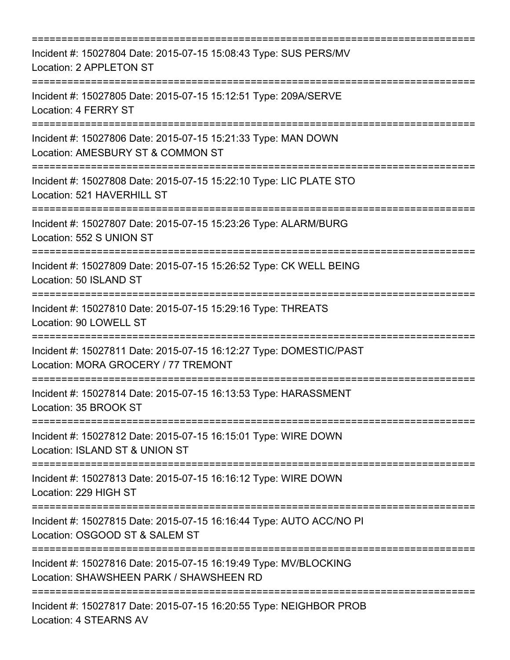| =======================                                                                                                         |
|---------------------------------------------------------------------------------------------------------------------------------|
| Incident #: 15027804 Date: 2015-07-15 15:08:43 Type: SUS PERS/MV<br>Location: 2 APPLETON ST                                     |
| Incident #: 15027805 Date: 2015-07-15 15:12:51 Type: 209A/SERVE<br>Location: 4 FERRY ST                                         |
| Incident #: 15027806 Date: 2015-07-15 15:21:33 Type: MAN DOWN<br>Location: AMESBURY ST & COMMON ST                              |
| Incident #: 15027808 Date: 2015-07-15 15:22:10 Type: LIC PLATE STO<br>Location: 521 HAVERHILL ST                                |
| Incident #: 15027807 Date: 2015-07-15 15:23:26 Type: ALARM/BURG<br>Location: 552 S UNION ST                                     |
| Incident #: 15027809 Date: 2015-07-15 15:26:52 Type: CK WELL BEING<br>Location: 50 ISLAND ST                                    |
| Incident #: 15027810 Date: 2015-07-15 15:29:16 Type: THREATS<br>Location: 90 LOWELL ST                                          |
| :=================<br>Incident #: 15027811 Date: 2015-07-15 16:12:27 Type: DOMESTIC/PAST<br>Location: MORA GROCERY / 77 TREMONT |
| Incident #: 15027814 Date: 2015-07-15 16:13:53 Type: HARASSMENT<br>Location: 35 BROOK ST                                        |
| Incident #: 15027812 Date: 2015-07-15 16:15:01 Type: WIRE DOWN<br>Location: ISLAND ST & UNION ST                                |
| Incident #: 15027813 Date: 2015-07-15 16:16:12 Type: WIRE DOWN<br>Location: 229 HIGH ST                                         |
| Incident #: 15027815 Date: 2015-07-15 16:16:44 Type: AUTO ACC/NO PI<br>Location: OSGOOD ST & SALEM ST                           |
| Incident #: 15027816 Date: 2015-07-15 16:19:49 Type: MV/BLOCKING<br>Location: SHAWSHEEN PARK / SHAWSHEEN RD                     |
| Incident #: 15027817 Date: 2015-07-15 16:20:55 Type: NEIGHBOR PROB<br>Location: 4 STEARNS AV                                    |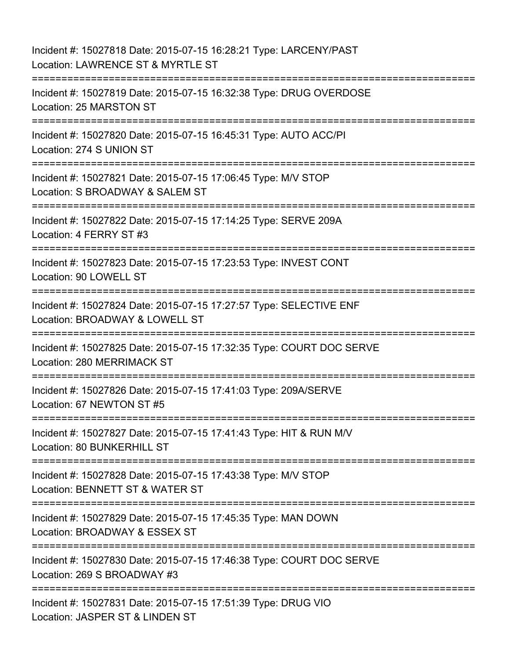Incident #: 15027818 Date: 2015-07-15 16:28:21 Type: LARCENY/PAST Location: LAWRENCE ST & MYRTLE ST =========================================================================== Incident #: 15027819 Date: 2015-07-15 16:32:38 Type: DRUG OVERDOSE Location: 25 MARSTON ST =========================================================================== Incident #: 15027820 Date: 2015-07-15 16:45:31 Type: AUTO ACC/PI Location: 274 S UNION ST =========================================================================== Incident #: 15027821 Date: 2015-07-15 17:06:45 Type: M/V STOP Location: S BROADWAY & SALEM ST =========================================================================== Incident #: 15027822 Date: 2015-07-15 17:14:25 Type: SERVE 209A Location: 4 FERRY ST #3 =========================================================================== Incident #: 15027823 Date: 2015-07-15 17:23:53 Type: INVEST CONT Location: 90 LOWELL ST =========================================================================== Incident #: 15027824 Date: 2015-07-15 17:27:57 Type: SELECTIVE ENF Location: BROADWAY & LOWELL ST =========================================================================== Incident #: 15027825 Date: 2015-07-15 17:32:35 Type: COURT DOC SERVE Location: 280 MERRIMACK ST =========================================================================== Incident #: 15027826 Date: 2015-07-15 17:41:03 Type: 209A/SERVE Location: 67 NEWTON ST #5 =========================================================================== Incident #: 15027827 Date: 2015-07-15 17:41:43 Type: HIT & RUN M/V Location: 80 BUNKERHILL ST =========================================================================== Incident #: 15027828 Date: 2015-07-15 17:43:38 Type: M/V STOP Location: BENNETT ST & WATER ST =========================================================================== Incident #: 15027829 Date: 2015-07-15 17:45:35 Type: MAN DOWN Location: BROADWAY & ESSEX ST =========================================================================== Incident #: 15027830 Date: 2015-07-15 17:46:38 Type: COURT DOC SERVE Location: 269 S BROADWAY #3 ================================ Incident #: 15027831 Date: 2015-07-15 17:51:39 Type: DRUG VIO Location: JASPER ST & LINDEN ST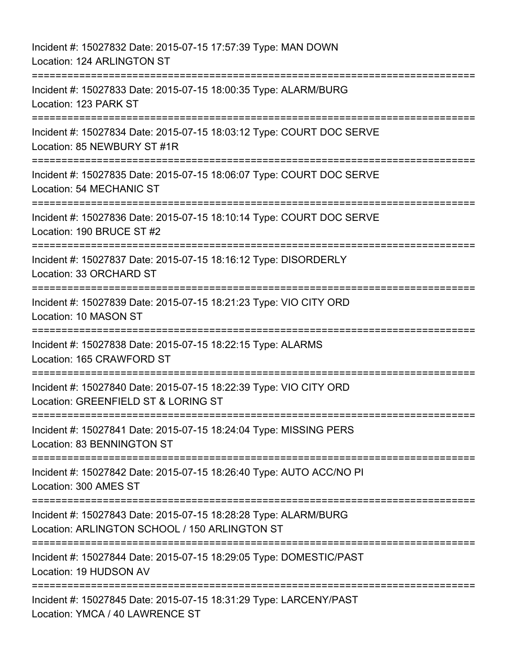Incident #: 15027832 Date: 2015-07-15 17:57:39 Type: MAN DOWN Location: 124 ARLINGTON ST =========================================================================== Incident #: 15027833 Date: 2015-07-15 18:00:35 Type: ALARM/BURG Location: 123 PARK ST =========================================================================== Incident #: 15027834 Date: 2015-07-15 18:03:12 Type: COURT DOC SERVE Location: 85 NEWBURY ST #1R =========================================================================== Incident #: 15027835 Date: 2015-07-15 18:06:07 Type: COURT DOC SERVE Location: 54 MECHANIC ST =========================================================================== Incident #: 15027836 Date: 2015-07-15 18:10:14 Type: COURT DOC SERVE Location: 190 BRUCE ST #2 =========================================================================== Incident #: 15027837 Date: 2015-07-15 18:16:12 Type: DISORDERLY Location: 33 ORCHARD ST =========================================================================== Incident #: 15027839 Date: 2015-07-15 18:21:23 Type: VIO CITY ORD Location: 10 MASON ST =========================================================================== Incident #: 15027838 Date: 2015-07-15 18:22:15 Type: ALARMS Location: 165 CRAWFORD ST =========================================================================== Incident #: 15027840 Date: 2015-07-15 18:22:39 Type: VIO CITY ORD Location: GREENFIELD ST & LORING ST =========================================================================== Incident #: 15027841 Date: 2015-07-15 18:24:04 Type: MISSING PERS Location: 83 BENNINGTON ST =========================================================================== Incident #: 15027842 Date: 2015-07-15 18:26:40 Type: AUTO ACC/NO PI Location: 300 AMES ST =========================================================================== Incident #: 15027843 Date: 2015-07-15 18:28:28 Type: ALARM/BURG Location: ARLINGTON SCHOOL / 150 ARLINGTON ST =========================================================================== Incident #: 15027844 Date: 2015-07-15 18:29:05 Type: DOMESTIC/PAST Location: 19 HUDSON AV =========================================================================== Incident #: 15027845 Date: 2015-07-15 18:31:29 Type: LARCENY/PAST Location: YMCA / 40 LAWRENCE ST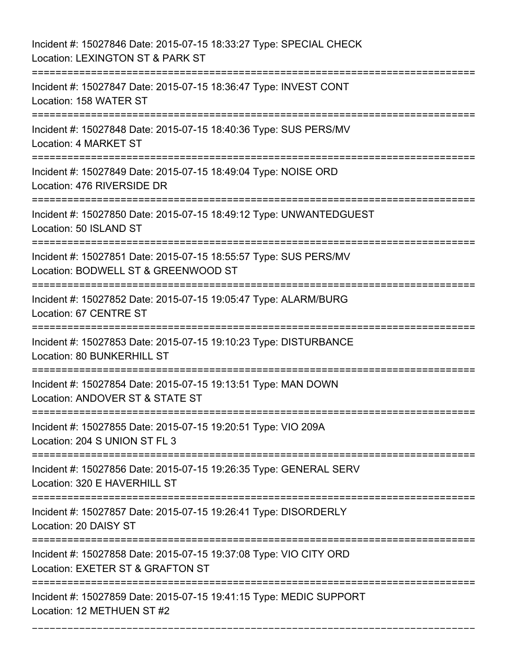| Incident #: 15027846 Date: 2015-07-15 18:33:27 Type: SPECIAL CHECK<br>Location: LEXINGTON ST & PARK ST |
|--------------------------------------------------------------------------------------------------------|
| Incident #: 15027847 Date: 2015-07-15 18:36:47 Type: INVEST CONT<br>Location: 158 WATER ST             |

Incident #: 15027848 Date: 2015-07-15 18:40:36 Type: SUS PERS/MV

Location: 4 MARKET ST

===========================================================================

Incident #: 15027849 Date: 2015-07-15 18:49:04 Type: NOISE ORD Location: 476 RIVERSIDE DR

===========================================================================

Incident #: 15027850 Date: 2015-07-15 18:49:12 Type: UNWANTEDGUEST Location: 50 ISLAND ST

===========================================================================

Incident #: 15027851 Date: 2015-07-15 18:55:57 Type: SUS PERS/MV Location: BODWELL ST & GREENWOOD ST

===========================================================================

Incident #: 15027852 Date: 2015-07-15 19:05:47 Type: ALARM/BURG Location: 67 CENTRE ST

===========================================================================

Incident #: 15027853 Date: 2015-07-15 19:10:23 Type: DISTURBANCE

Location: 80 BUNKERHILL ST

===========================================================================

Incident #: 15027854 Date: 2015-07-15 19:13:51 Type: MAN DOWN Location: ANDOVER ST & STATE ST

===========================================================================

Incident #: 15027855 Date: 2015-07-15 19:20:51 Type: VIO 209A Location: 204 S UNION ST FL 3

===========================================================================

Incident #: 15027856 Date: 2015-07-15 19:26:35 Type: GENERAL SERV Location: 320 E HAVERHILL ST

===========================================================================

Incident #: 15027857 Date: 2015-07-15 19:26:41 Type: DISORDERLY

Location: 20 DAISY ST

===========================================================================

Incident #: 15027858 Date: 2015-07-15 19:37:08 Type: VIO CITY ORD Location: EXETER ST & GRAFTON ST

===========================================================================

===========================================================================

Incident #: 15027859 Date: 2015-07-15 19:41:15 Type: MEDIC SUPPORT Location: 12 METHUEN ST #2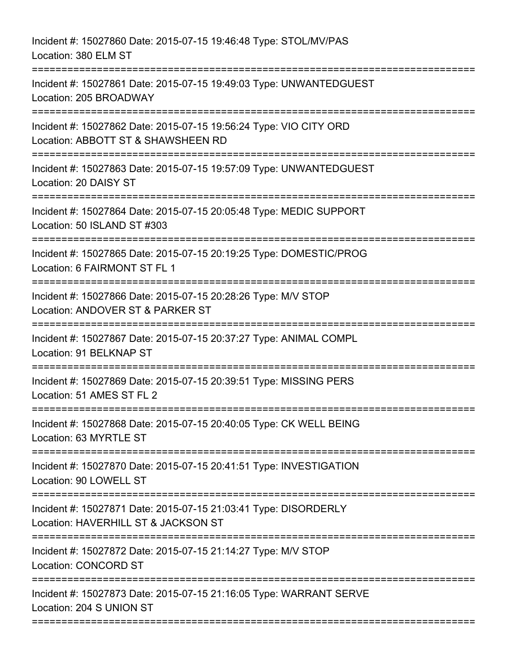Incident #: 15027860 Date: 2015-07-15 19:46:48 Type: STOL/MV/PAS Location: 380 ELM ST =========================================================================== Incident #: 15027861 Date: 2015-07-15 19:49:03 Type: UNWANTEDGUEST Location: 205 BROADWAY =========================================================================== Incident #: 15027862 Date: 2015-07-15 19:56:24 Type: VIO CITY ORD Location: ABBOTT ST & SHAWSHEEN RD =========================================================================== Incident #: 15027863 Date: 2015-07-15 19:57:09 Type: UNWANTEDGUEST Location: 20 DAISY ST =========================================================================== Incident #: 15027864 Date: 2015-07-15 20:05:48 Type: MEDIC SUPPORT Location: 50 ISLAND ST #303 =========================================================================== Incident #: 15027865 Date: 2015-07-15 20:19:25 Type: DOMESTIC/PROG Location: 6 FAIRMONT ST FL 1 =========================================================================== Incident #: 15027866 Date: 2015-07-15 20:28:26 Type: M/V STOP Location: ANDOVER ST & PARKER ST =========================================================================== Incident #: 15027867 Date: 2015-07-15 20:37:27 Type: ANIMAL COMPL Location: 91 BELKNAP ST =========================================================================== Incident #: 15027869 Date: 2015-07-15 20:39:51 Type: MISSING PERS Location: 51 AMES ST FL 2 =========================================================================== Incident #: 15027868 Date: 2015-07-15 20:40:05 Type: CK WELL BEING Location: 63 MYRTLE ST =========================================================================== Incident #: 15027870 Date: 2015-07-15 20:41:51 Type: INVESTIGATION Location: 90 LOWELL ST =========================================================================== Incident #: 15027871 Date: 2015-07-15 21:03:41 Type: DISORDERLY Location: HAVERHILL ST & JACKSON ST =========================================================================== Incident #: 15027872 Date: 2015-07-15 21:14:27 Type: M/V STOP Location: CONCORD ST =========================================================================== Incident #: 15027873 Date: 2015-07-15 21:16:05 Type: WARRANT SERVE Location: 204 S UNION ST ===========================================================================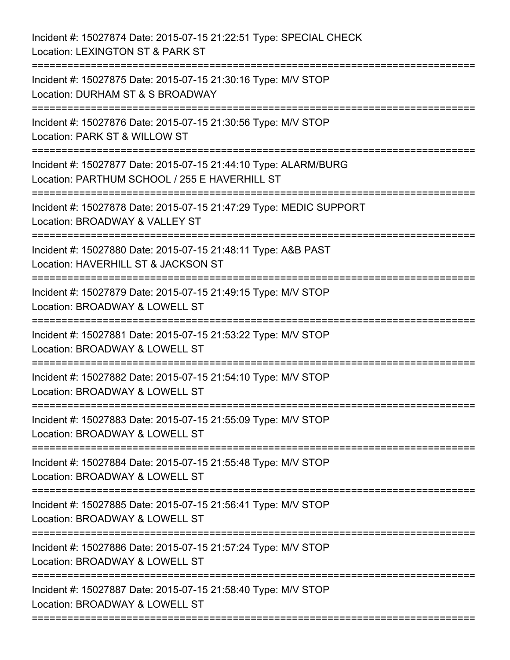| Incident #: 15027874 Date: 2015-07-15 21:22:51 Type: SPECIAL CHECK<br>Location: LEXINGTON ST & PARK ST           |
|------------------------------------------------------------------------------------------------------------------|
| Incident #: 15027875 Date: 2015-07-15 21:30:16 Type: M/V STOP<br>Location: DURHAM ST & S BROADWAY                |
| Incident #: 15027876 Date: 2015-07-15 21:30:56 Type: M/V STOP<br>Location: PARK ST & WILLOW ST                   |
| Incident #: 15027877 Date: 2015-07-15 21:44:10 Type: ALARM/BURG<br>Location: PARTHUM SCHOOL / 255 E HAVERHILL ST |
| Incident #: 15027878 Date: 2015-07-15 21:47:29 Type: MEDIC SUPPORT<br>Location: BROADWAY & VALLEY ST             |
| Incident #: 15027880 Date: 2015-07-15 21:48:11 Type: A&B PAST<br>Location: HAVERHILL ST & JACKSON ST             |
| Incident #: 15027879 Date: 2015-07-15 21:49:15 Type: M/V STOP<br>Location: BROADWAY & LOWELL ST                  |
| Incident #: 15027881 Date: 2015-07-15 21:53:22 Type: M/V STOP<br>Location: BROADWAY & LOWELL ST                  |
| Incident #: 15027882 Date: 2015-07-15 21:54:10 Type: M/V STOP<br>Location: BROADWAY & LOWELL ST                  |
| Incident #: 15027883 Date: 2015-07-15 21:55:09 Type: M/V STOP<br>Location: BROADWAY & LOWELL ST                  |
| Incident #: 15027884 Date: 2015-07-15 21:55:48 Type: M/V STOP<br>Location: BROADWAY & LOWELL ST                  |
| Incident #: 15027885 Date: 2015-07-15 21:56:41 Type: M/V STOP<br>Location: BROADWAY & LOWELL ST                  |
| Incident #: 15027886 Date: 2015-07-15 21:57:24 Type: M/V STOP<br>Location: BROADWAY & LOWELL ST                  |
| Incident #: 15027887 Date: 2015-07-15 21:58:40 Type: M/V STOP<br>Location: BROADWAY & LOWELL ST                  |
|                                                                                                                  |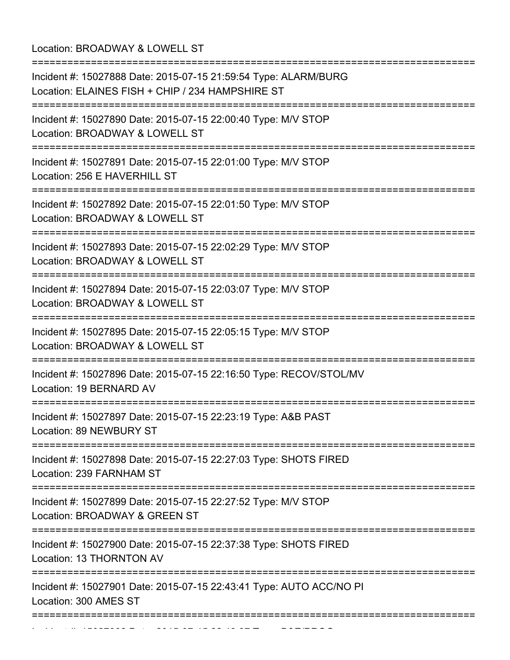Location: BROADWAY & LOWELL ST

=========================================================================== Incident #: 15027888 Date: 2015-07-15 21:59:54 Type: ALARM/BURG Location: ELAINES FISH + CHIP / 234 HAMPSHIRE ST =========================================================================== Incident #: 15027890 Date: 2015-07-15 22:00:40 Type: M/V STOP Location: BROADWAY & LOWELL ST =========================================================================== Incident #: 15027891 Date: 2015-07-15 22:01:00 Type: M/V STOP Location: 256 F HAVERHILL ST =========================================================================== Incident #: 15027892 Date: 2015-07-15 22:01:50 Type: M/V STOP Location: BROADWAY & LOWELL ST =========================================================================== Incident #: 15027893 Date: 2015-07-15 22:02:29 Type: M/V STOP Location: BROADWAY & LOWELL ST =========================================================================== Incident #: 15027894 Date: 2015-07-15 22:03:07 Type: M/V STOP Location: BROADWAY & LOWELL ST =========================================================================== Incident #: 15027895 Date: 2015-07-15 22:05:15 Type: M/V STOP Location: BROADWAY & LOWELL ST =========================================================================== Incident #: 15027896 Date: 2015-07-15 22:16:50 Type: RECOV/STOL/MV Location: 19 BERNARD AV =========================================================================== Incident #: 15027897 Date: 2015-07-15 22:23:19 Type: A&B PAST Location: 89 NEWBURY ST =========================================================================== Incident #: 15027898 Date: 2015-07-15 22:27:03 Type: SHOTS FIRED Location: 239 FARNHAM ST =========================================================================== Incident #: 15027899 Date: 2015-07-15 22:27:52 Type: M/V STOP Location: BROADWAY & GREEN ST =========================================================================== Incident #: 15027900 Date: 2015-07-15 22:37:38 Type: SHOTS FIRED Location: 13 THORNTON AV =========================================================================== Incident #: 15027901 Date: 2015-07-15 22:43:41 Type: AUTO ACC/NO PI Location: 300 AMES ST =========================

Incident #: 15027902 Date: 2015 07 15 22:49:37 Type: B&E/PROG